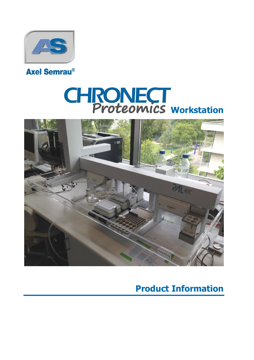

## **Axel Semrau®**

# **CHRONECT**<br>Proteomics workstation



## **Product Information**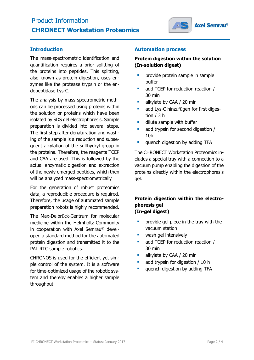

#### **Introduction**

The mass-spectrometric identification and quantification requires a prior splitting of the proteins into peptides. This splitting, also known as protein digestion, uses enzymes like the protease trypsin or the endopeptidase Lys-C.

The analysis by mass spectrometric methods can be processed using proteins within the solution or proteins which have been isolated by SDS gel electrophoresis. Sample preparation is divided into several steps. The first step after denaturation and washing of the sample is a reduction and subsequent alkylation of the sulfhydryl group in the proteins. Therefore, the reagents TCEP and CAA are used. This is followed by the actual enzymatic digestion and extraction of the newly emerged peptides, which then will be analyzed mass-spectrometrically

For the generation of robust proteomics data, a reproducible procedure is required. Therefore, the usage of automated sample preparation robots is highly recommended.

The Max-Delbrück-Centrum for molecular medicine within the Helmholtz Community in cooperation with Axel Semrau® developed a standard method for the automated protein digestion and transmitted it to the PAL RTC sample robotics.

CHRONOS is used for the efficient yet simple control of the system. It is a software for time-optimized usage of the robotic system and thereby enables a higher sample throughput.

#### **Automation process**

#### **Protein digestion within the solution (In-solution digest)**

- **•** provide protein sample in sample buffer
- add TCEP for reduction reaction / 30 min
- alkylate by CAA / 20 min
- add Lys-C hinzufügen for first digestion / 3 h
- **dilute sample with buffer**
- add trypsin for second digestion / 10h
- **quench digestion by adding TFA**

The CHRONECT Workstation Proteomics includes a special tray with a connection to a vacuum pump enabling the digestion of the proteins directly within the electrophoresis gel.

#### **Protein digestion within the electrophoresis gel (In-gel digest)**

- **Perovide gel piece in the tray with the** vacuum station
- **wash gel intensively**
- add TCEP for reduction reaction / 30 min
- alkylate by CAA / 20 min
- add trypsin for digestion / 10 h
- quench digestion by adding TFA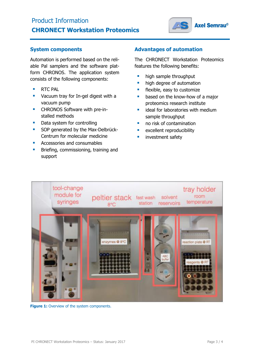### Product Information **CHRONECT Workstation Proteomics**



#### **System components**

Automation is performed based on the reliable Pal samplers and the software platform CHRONOS. The application system consists of the following components:

- **RTC PAL**
- **Vacuum tray for In-gel digest with a** vacuum pump
- **EXECUTE:** CHRONOS Software with pre-installed methods
- Data system for controlling
- SOP generated by the Max-Delbrück-Centrum for molecular medicine
- Accessories and consumables
- **Briefing, commissioning, training and** support

#### **Advantages of automation**

The CHRONECT Workstation Proteomics features the following benefits:

- **high sample throughput**
- **high degree of automation**
- **Filexible, easy to customize**
- **based on the know-how of a major** proteomics research institute
- $\blacksquare$  ideal for laboratories with medium sample throughput
- **no risk of contamination**
- **EXCELLENT REPRODUCIBILITY**
- investment safety



**Figure 1:** Overview of the system components.